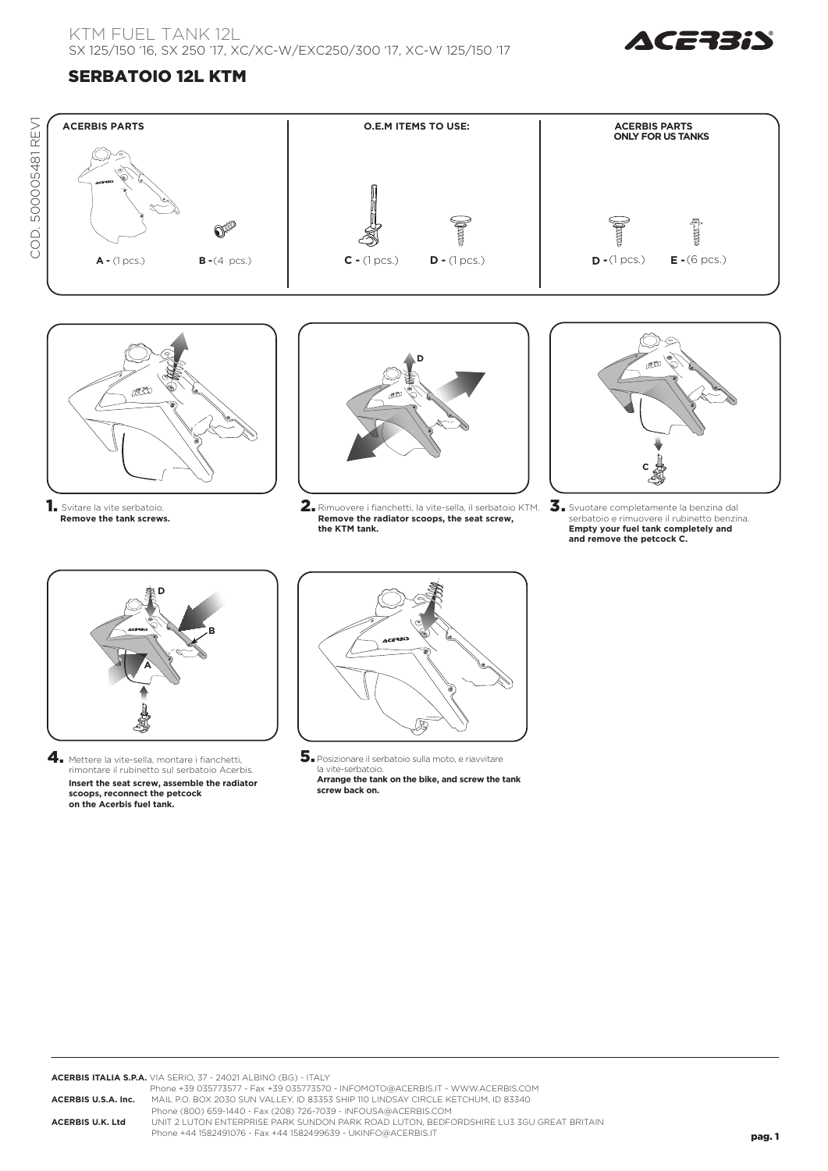#### KTM FUEL TANK 12L SX 125/150 '16, SX 250 '17, XC/XC-W/EXC250/300 '17, XC-W 125/150 '17



### SERBATOIO 12L KTM





1. Svitare la vite serbatoio. **Remove the tank screws.**



 $2$ . Rimuovere i fianchetti, la vite-sella, il serbatoio KTM.  $\,$   $\,$   $\,$ **Remove the radiator scoops, the seat screw, the KTM tank.**



Svuotare completamente la benzina dal serbatoio e rimuovere il rubinetto benzina. **Empty your fuel tank completely and and remove the petcock C.**



4. Mettere la vite-sella, montare i fianchetti,  $\overline{\phantom{0}}$  5. rimontare il rubinetto sul serbatoio Acerbis. **Insert the seat screw, assemble the radiator scoops, reconnect the petcock on the Acerbis fuel tank.**



Posizionare il serbatoio sulla moto, e riavvitare la vite-serbatoio. **Arrange the tank on the bike, and screw the tank screw back on.**

**ACERBIS ITALIA S.P.A.** VIA SERIO, 37 - 24021 ALBINO (BG) - ITALY

Phone +39 035773577 - Fax +39 035773570 - INFOMOTO@ACERBIS.IT - WWW.ACERBIS.COM **ACERBIS U.S.A. Inc.** MAIL P.O. BOX 2030 SUN VALLEY, ID 83353 SHIP 110 LINDSAY CIRCLE KETCHUM, ID 83340<br>Phone (800) 659-1440 - Fax (208) 726-7039 - INFOUSA@ACERBIS.COM<br>**ACERBIS U.K. Ltd** UNIT 2 LUTON ENTERPRI Phone +44 1582491076 - Fax +44 1582499639 - UKINFO@ACERBIS.IT